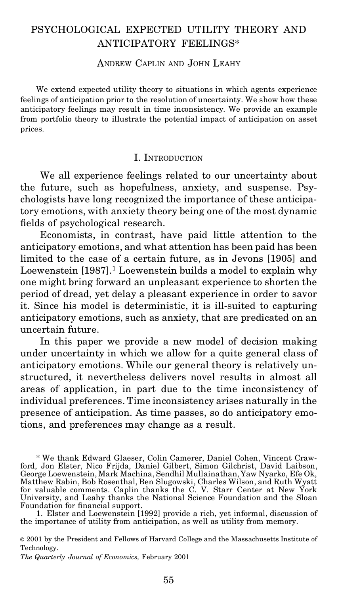# PSYCHOLOGICAL EXPECTED UTILITY THEORY AND ANTICIPATORY FEELINGS\*

## ANDREW CAPLIN AND JOHN LEAHY

We extend expected utility theory to situations in which agents experience feelings of anticipation prior to the resolution of uncertainty. We show how these anticipatory feelings may result in time inconsistency. We provide an example from portfolio theory to illustrate the potential impact of anticipation on asset prices.

#### I. INTRODUCTION

We all experience feelings related to our uncertainty about the future, such as hopefulness, anxiety, and suspense. Psychologists have long recognized the importance of these anticipatory emotions, with anxiety theory being one of the most dynamic fields of psychological research.

Economists, in contrast, have paid little attention to the anticipatory emotions, and what attention has been paid has been limited to the case of a certain future, as in Jevons [1905] and Loewenstein [1987].<sup>1</sup> Loewenstein builds a model to explain why one might bring forward an unpleasant experience to shorten the period of dread, yet delay a pleasant experience in order to savor it. Since his model is deterministic, it is ill-suited to capturing anticipatory emotions, such as anxiety, that are predicated on an uncertain future.

In this paper we provide a new model of decision making under uncertainty in which we allow for a quite general class of anticipatory emotions. While our general theory is relatively unstructured, it nevertheless delivers novel results in almost all areas of application, in part due to the time inconsistency of individual preferences. Time inconsistency arises naturally in the presence of anticipation. As time passes, so do anticipatory emotions, and preferences may change as a result.

1. Elster and Loewenstein [1992] provide a rich, yet informal, discussion of the importance of utility from anticipation, as well as utility from memory.

© 2001 by the President and Fellows of Harvard College and the Massachusetts Institute of Technology.

*The Quarterly Journal of Economics,* February 2001

<sup>\*</sup> We thank Edward Glaeser, Colin Camerer, Daniel Cohen, Vincent Craw-ford, Jon Elster, Nico Frijda, Daniel Gilbert, Simon Gilchrist, David Laibson, George Loewenstein, Mark Machina, Sendhil Mullainathan, Yaw Nyarko, Efe Ok, Matthew Rabin, Bob Rosenthal, Ben Slugowski, Charles Wilson, and Ruth Wyatt for valuable comments. Caplin thanks the C. V. Starr Center at New York University, and Leahy thanks the National Science Foundation and the Sloan Foundation for financial support.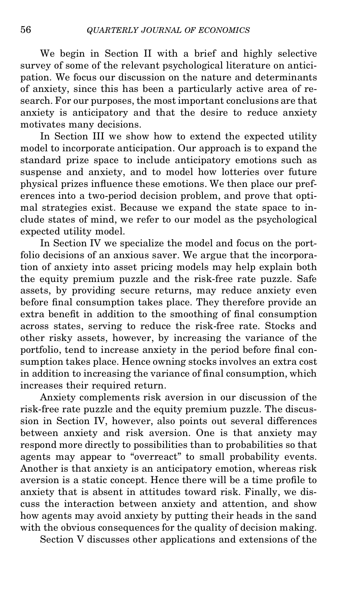We begin in Section II with a brief and highly selective survey of some of the relevant psychological literature on anticipation. We focus our discussion on the nature and determinants of anxiety, since this has been a particularly active area of research. For our purposes, the most important conclusions are that anxiety is anticipatory and that the desire to reduce anxiety motivates many decisions.

In Section III we show how to extend the expected utility model to incorporate anticipation. Our approach is to expand the standard prize space to include anticipatory emotions such as suspense and anxiety, and to model how lotteries over future physical prizes influence these emotions. We then place our preferences into a two-period decision problem, and prove that optimal strategies exist. Because we expand the state space to include states of mind, we refer to our model as the psychological expected utility model.

In Section IV we specialize the model and focus on the portfolio decisions of an anxious saver. We argue that the incorporation of anxiety into asset pricing models may help explain both the equity premium puzzle and the risk-free rate puzzle. Safe assets, by providing secure returns, may reduce anxiety even before final consumption takes place. They therefore provide an extra benefit in addition to the smoothing of final consumption across states, serving to reduce the risk-free rate. Stocks and other risky assets, however, by increasing the variance of the portfolio, tend to increase anxiety in the period before final consumption takes place. Hence owning stocks involves an extra cost in addition to increasing the variance of final consumption, which increases their required return.

Anxiety complements risk aversion in our discussion of the risk-free rate puzzle and the equity premium puzzle. The discussion in Section IV, however, also points out several differences between anxiety and risk aversion. One is that anxiety may respond more directly to possibilities than to probabilities so that agents may appear to "overreact" to small probability events. Another is that anxiety is an anticipatory emotion, whereas risk aversion is a static concept. Hence there will be a time profile to anxiety that is absent in attitudes toward risk. Finally, we discuss the interaction between anxiety and attention, and show how agents may avoid anxiety by putting their heads in the sand with the obvious consequences for the quality of decision making.

Section V discusses other applications and extensions of the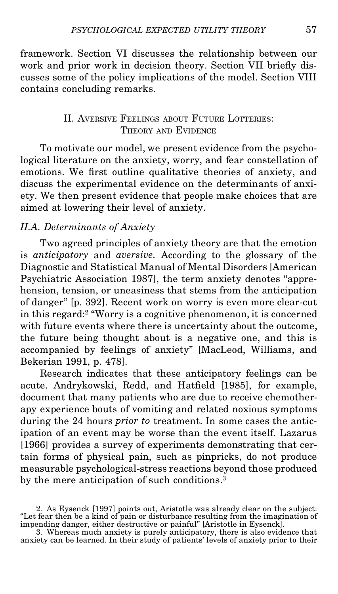framework. Section VI discusses the relationship between our work and prior work in decision theory. Section VII briefly discusses some of the policy implications of the model. Section VIII contains concluding remarks.

## II. AVERSIVE FEELINGS ABOUT FUTURE LOTTERIES: THEORY AND EVIDENCE

To motivate our model, we present evidence from the psychological literature on the anxiety, worry, and fear constellation of emotions. We first outline qualitative theories of anxiety, and discuss the experimental evidence on the determinants of anxiety. We then present evidence that people make choices that are aimed at lowering their level of anxiety.

# *II.A. Determinants of Anxiety*

Two agreed principles of anxiety theory are that the emotion is *anticipatory* and *aversive.* According to the glossary of the Diagnostic and Statistical Manual of Mental Disorders [American Psychiatric Association 1987], the term anxiety denotes "apprehension, tension, or uneasiness that stems from the anticipation of danger" [p. 392]. Recent work on worry is even more clear-cut in this regard:<sup>2</sup> "Worry is a cognitive phenomenon, it is concerned with future events where there is uncertainty about the outcome, the future being thought about is a negative one, and this is accompanied by feelings of anxiety" [MacLeod, Williams, and Bekerian 1991, p. 478].

Research indicates that these anticipatory feelings can be acute. Andrykowski, Redd, and Hatfield [1985], for example, document that many patients who are due to receive chemotherapy experience bouts of vomiting and related noxious symptoms during the 24 hours *prior to* treatment. In some cases the anticipation of an event may be worse than the event itself. Lazarus [1966] provides a survey of experiments demonstrating that certain forms of physical pain, such as pinpricks, do not produce measurable psychological-stress reactions beyond those produced by the mere anticipation of such conditions.<sup>3</sup>

<sup>2.</sup> As Eysenck [1997] points out, Aristotle was already clear on the subject:<br>"Let fear then be a kind of pain or disturbance resulting from the imagination of<br>impending danger, either destructive or painful" [Aristotle in

<sup>3.</sup> Whereas much anxiety is purely anticipatory, there is also evidence that anxiety can be learned. In their study of patients' levels of anxiety prior to their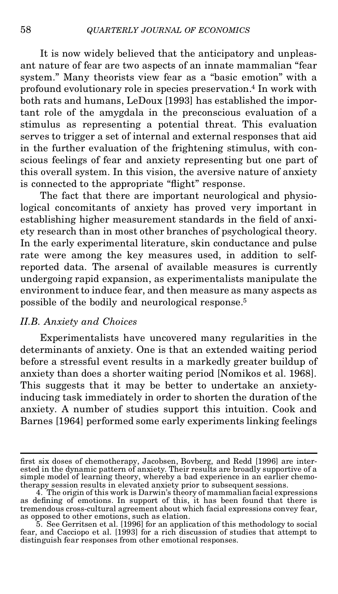It is now widely believed that the anticipatory and unpleasant nature of fear are two aspects of an innate mammalian "fear system." Many theorists view fear as a "basic emotion" with a profound evolutionary role in species preservation.<sup>4</sup> In work with both rats and humans, LeDoux [1993] has established the important role of the amygdala in the preconscious evaluation of a stimulus as representing a potential threat. This evaluation serves to trigger a set of internal and external responses that aid in the further evaluation of the frightening stimulus, with conscious feelings of fear and anxiety representing but one part of this overall system. In this vision, the aversive nature of anxiety is connected to the appropriate "flight" response.

The fact that there are important neurological and physiological concomitants of anxiety has proved very important in establishing higher measurement standards in the field of anxiety research than in most other branches of psychological theory. In the early experimental literature, skin conductance and pulse rate were among the key measures used, in addition to selfreported data. The arsenal of available measures is currently undergoing rapid expansion, as experimentalists manipulate the environment to induce fear, and then measure as many aspects as possible of the bodily and neurological response.<sup>5</sup>

### *II.B. Anxiety and Choices*

Experimentalists have uncovered many regularities in the determinants of anxiety. One is that an extended waiting period before a stressful event results in a markedly greater buildup of anxiety than does a shorter waiting period [Nomikos et al. 1968]. This suggests that it may be better to undertake an anxietyinducing task immediately in order to shorten the duration of the anxiety. A number of studies support this intuition. Cook and Barnes [1964] performed some early experiments linking feelings

first six doses of chemotherapy, Jacobsen, Bovberg, and Redd [1996] are interested in the dynamic pattern of anxiety. Their results are broadly supportive of a simple model of learning theory, whereby a bad experience in an earlier chemotherapy session results in elevated anxiety prior to subsequent sessions.

<sup>4.</sup> The origin of this work is Darwin's theory of mammalian facial expressions as defining of emotions. In support of this, it has been found that there is tremendous cross-cultural agreement about which facial expressions convey fear, as opposed to other emotions, such as elation.

<sup>5.</sup> See Gerritsen et al. [1996] for an application of this methodology to social fear, and Cacciopo et al. [1993] for a rich discussion of studies that attempt to distinguish fear responses from other emotional responses.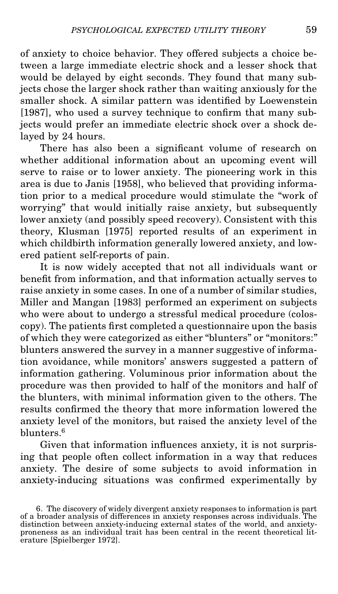of anxiety to choice behavior. They offered subjects a choice between a large immediate electric shock and a lesser shock that would be delayed by eight seconds. They found that many subjects chose the larger shock rather than waiting anxiously for the smaller shock. A similar pattern was identified by Loewenstein [1987], who used a survey technique to confirm that many subjects would prefer an immediate electric shock over a shock delayed by 24 hours.

There has also been a significant volume of research on whether additional information about an upcoming event will serve to raise or to lower anxiety. The pioneering work in this area is due to Janis [1958], who believed that providing information prior to a medical procedure would stimulate the "work of worrying" that would initially raise anxiety, but subsequently lower anxiety (and possibly speed recovery). Consistent with this theory, Klusman [1975] reported results of an experiment in which childbirth information generally lowered anxiety, and lowered patient self-reports of pain.

It is now widely accepted that not all individuals want or benefit from information, and that information actually serves to raise anxiety in some cases. In one of a number of similar studies, Miller and Mangan [1983] performed an experiment on subjects who were about to undergo a stressful medical procedure (coloscopy). The patients first completed a questionnaire upon the basis of which they were categorized as either "blunters" or "monitors:" blunters answered the survey in a manner suggestive of information avoidance, while monitors' answers suggested a pattern of information gathering. Voluminous prior information about the procedure was then provided to half of the monitors and half of the blunters, with minimal information given to the others. The results confirmed the theory that more information lowered the anxiety level of the monitors, but raised the anxiety level of the blunters.<sup>6</sup>

Given that information influences anxiety, it is not surprising that people often collect information in a way that reduces anxiety. The desire of some subjects to avoid information in anxiety-inducing situations was confirmed experimentally by

<sup>6.</sup> The discovery of widely divergent anxiety responses to information is part of a broader analysis of differences in anxiety responses across individuals. The distinction between anxiety-inducing external states of the world, and anxietyproneness as an individual trait has been central in the recent theoretical literature [Spielberger 1972].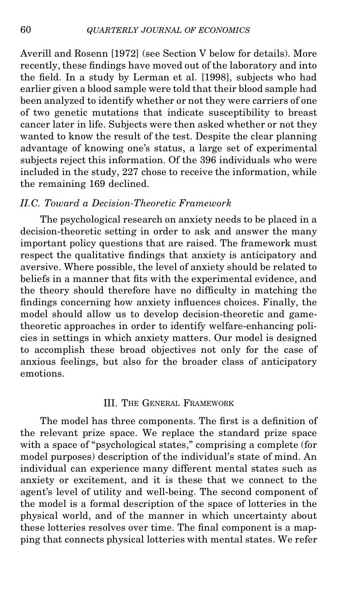Averill and Rosenn [1972] (see Section V below for details). More recently, these findings have moved out of the laboratory and into the field. In a study by Lerman et al. [1998], subjects who had earlier given a blood sample were told that their blood sample had been analyzed to identify whether or not they were carriers of one of two genetic mutations that indicate susceptibility to breast cancer later in life. Subjects were then asked whether or not they wanted to know the result of the test. Despite the clear planning advantage of knowing one's status, a large set of experimental subjects reject this information. Of the 396 individuals who were included in the study, 227 chose to receive the information, while the remaining 169 declined.

## *II.C. Toward a Decision-Theoretic Framework*

The psychological research on anxiety needs to be placed in a decision-theoretic setting in order to ask and answer the many important policy questions that are raised. The framework must respect the qualitative findings that anxiety is anticipatory and aversive. Where possible, the level of anxiety should be related to beliefs in a manner that fits with the experimental evidence, and the theory should therefore have no difficulty in matching the findings concerning how anxiety influences choices. Finally, the model should allow us to develop decision-theoretic and gametheoretic approaches in order to identify welfare-enhancing policies in settings in which anxiety matters. Our model is designed to accomplish these broad objectives not only for the case of anxious feelings, but also for the broader class of anticipatory emotions.

#### III. THE GENERAL FRAMEWORK

The model has three components. The first is a definition of the relevant prize space. We replace the standard prize space with a space of "psychological states," comprising a complete (for model purposes) description of the individual's state of mind. An individual can experience many different mental states such as anxiety or excitement, and it is these that we connect to the agent's level of utility and well-being. The second component of the model is a formal description of the space of lotteries in the physical world, and of the manner in which uncertainty about these lotteries resolves over time. The final component is a mapping that connects physical lotteries with mental states. We refer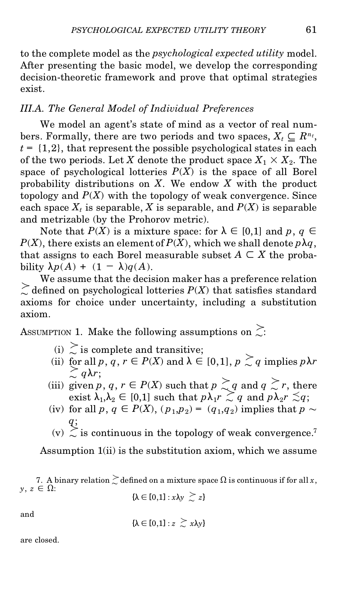to the complete model as the *psychological expected utility* model. After presenting the basic model, we develop the corresponding decision-theoretic framework and prove that optimal strategies exist.

# *III.A. The General Model of Individual Preferences*

We model an agent's state of mind as a vector of real numbers. Formally, there are two periods and two spaces,  $X_t \subset R^{n_t}$ ,  $t = \{1, 2\}$ , that represent the possible psychological states in each of the two periods. Let *X* denote the product space  $X_1 \times X_2$ . The space of psychological lotteries  $P(X)$  is the space of all Borel probability distributions on *X*. We endow *X* with the product topology and  $P(X)$  with the topology of weak convergence. Since each space  $X_t$  is separable, *X* is separable, and  $P(X)$  is separable and metrizable (by the Prohorov metric).

Note that  $P(X)$  is a mixture space: for  $\lambda \in [0,1]$  and  $p, q \in$  $P(X)$ , there exists an element of  $P(X)$ , which we shall denote  $p\lambda q$ , that assigns to each Borel measurable subset  $A \subset X$  the probability  $\lambda p(A) + (1 - \lambda)q(A)$ .

We assume that the decision maker has a preference relation  $\geq$  defined on psychological lotteries  $P(X)$  that satisfies standard axioms for choice under uncertainty, including a substitution axiom.

ASSUMPTION 1. Make the following assumptions on  $\geq$ :

- (i)  $\geq$  is complete and transitive;
- (ii) for all *p*,  $q, r \in P(X)$  and  $\lambda \in [0,1], p \geq q$  implies  $p\lambda r$  $\int \frac{\partial}{\partial x}$
- (iii) given *p*, *q*, *r*  $\in$  *P*(*X*) such that *p*  $\geq$ *q* and *q*  $\geq$ *r*, there exist  $\lambda_1, \lambda_2 \in [0,1]$  such that  $p\lambda_1 r \gtrsim q$  and  $p\lambda_2 r \lesssim q$ ;
- (iv) for all *p*,  $q \in P(X)$ ,  $(p_1, p_2) = (q_1, q_2)$  implies that  $p \sim$
- $q$ ;<br>
(v)  $\lesssim$  is continuous in the topology of weak convergence.<sup>7</sup>

Assumption 1(ii) is the substitution axiom, which we assume

7. A binary relation  $\geq$  defined on a mixture space  $\Omega$  is continuous if for all *x*,  $y, z \in \Omega$ :

$$
\{\lambda\in[0,1]:x\lambda y\ \mathop{}_{\textstyle \sim}^{\textstyle >} z\}
$$

and

$$
\{\lambda \in [0,1]: z \ \text{and} \ x\lambda y\}
$$

are closed.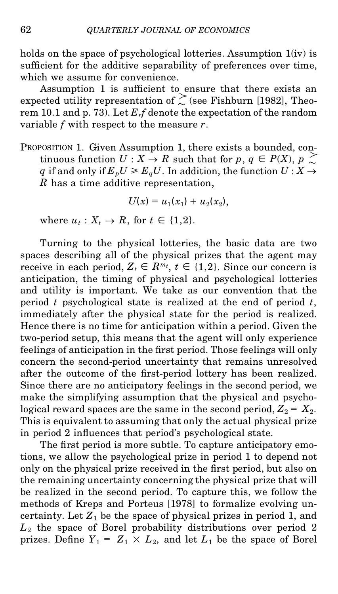holds on the space of psychological lotteries. Assumption 1(iv) is sufficient for the additive separability of preferences over time, which we assume for convenience.

Assumption 1 is sufficient to ensure that there exists an expected utility representation of  $\gtrsim$  (see Fishburn [1982], Theorem 10.1 and p. 73). Let *Erf* denote the expectation of the random variable *f* with respect to the measure *r*.

PROPOSITION 1. Given Assumption 1, there exists a bounded, continuous function  $U: X \to R$  such that for  $p, q \in P(X), p \geq$ *q* if and only if  $E_p U \ge E_q U$ . In addition, the function  $U: X \rightarrow Y$ *R* has a time additive representation,

$$
U(x) = u_1(x_1) + u_2(x_2),
$$

where  $u_t: X_t \to R$ , for  $t \in \{1,2\}$ .

Turning to the physical lotteries, the basic data are two spaces describing all of the physical prizes that the agent may receive in each period,  $Z_t \in \mathbb{R}^{m_t}$ ,  $t \in \{1,2\}$ . Since our concern is anticipation, the timing of physical and psychological lotteries and utility is important. We take as our convention that the period *t* psychological state is realized at the end of period *t*, immediately after the physical state for the period is realized. Hence there is no time for anticipation within a period. Given the two-period setup, this means that the agent will only experience feelings of anticipation in the first period. Those feelings will only concern the second-period uncertainty that remains unresolved after the outcome of the first-period lottery has been realized. Since there are no anticipatory feelings in the second period, we make the simplifying assumption that the physical and psychological reward spaces are the same in the second period,  $Z_2 = X_2$ . This is equivalent to assuming that only the actual physical prize in period 2 influences that period's psychological state.

The first period is more subtle. To capture anticipatory emotions, we allow the psychological prize in period 1 to depend not only on the physical prize received in the first period, but also on the remaining uncertainty concerning the physical prize that will be realized in the second period. To capture this, we follow the methods of Kreps and Porteus [1978] to formalize evolving uncertainty. Let  $Z_1$  be the space of physical prizes in period 1, and *L*<sup>2</sup> the space of Borel probability distributions over period 2 prizes. Define  $Y_1 = Z_1 \times L_2$ , and let  $L_1$  be the space of Borel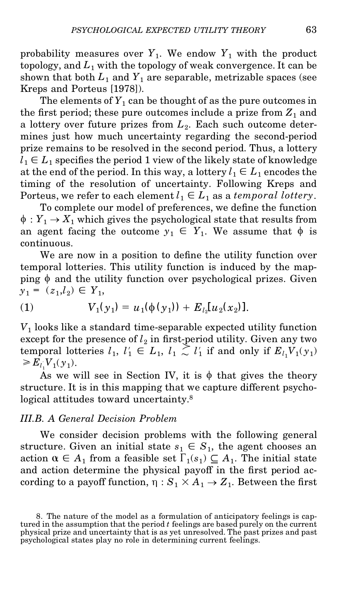probability measures over  $Y_1$ . We endow  $Y_1$  with the product topology, and  $L_1$  with the topology of weak convergence. It can be shown that both  $L_1$  and  $Y_1$  are separable, metrizable spaces (see Kreps and Porteus [1978]).

The elements of  $Y_1$  can be thought of as the pure outcomes in the first period; these pure outcomes include a prize from  $Z_1$  and a lottery over future prizes from *L*2. Each such outcome determines just how much uncertainty regarding the second-period prize remains to be resolved in the second period. Thus, a lottery  $l_1 \in L_1$  specifies the period 1 view of the likely state of knowledge at the end of the period. In this way, a lottery  $l_1 \in L_1$  encodes the timing of the resolution of uncertainty. Following Kreps and Porteus, we refer to each element  $l_1 \in L_1$  as a *temporal lottery*.

To complete our model of preferences, we define the function  $\phi: Y_1 \to X_1$  which gives the psychological state that results from an agent facing the outcome  $y_1 \in Y_1$ . We assume that  $\phi$  is continuous.

We are now in a position to define the utility function over temporal lotteries. This utility function is induced by the mapping  $\phi$  and the utility function over psychological prizes. Given  $y_1 = (z_1, l_2) \in Y_1$ 

(1) 
$$
V_1(y_1) = u_1(\phi(y_1)) + E_{l_2}[u_2(x_2)].
$$

*V*<sup>1</sup> looks like a standard time-separable expected utility function except for the presence of  $l_2$  in first-period utility. Given any two temporal lotteries  $l_1$ ,  $l'_1 \in L_1$ ,  $l_1 \gtrsim l'_1$  if and only if  $E_{l_1}V_1(y_1)$  $\geq E_{l_1} V_1(y_1).$ 

As we will see in Section IV, it is  $\phi$  that gives the theory structure. It is in this mapping that we capture different psychological attitudes toward uncertainty.<sup>8</sup>

### *III.B. A General Decision Problem*

We consider decision problems with the following general structure. Given an initial state  $s_1 \in S_1$ , the agent chooses an action  $\alpha \in A_1$  from a feasible set  $\Gamma_1(s_1) \subseteq A_1$ . The initial state and action determine the physical payoff in the first period according to a payoff function,  $\eta: S_1 \times A_1 \rightarrow Z_1.$  Between the first

<sup>8.</sup> The nature of the model as a formulation of anticipatory feelings is cap-tured in the assumption that the period *t* feelings are based purely on the current physical prize and uncertainty that is as yet unresolved. The past prizes and past psychological states play no role in determining current feelings.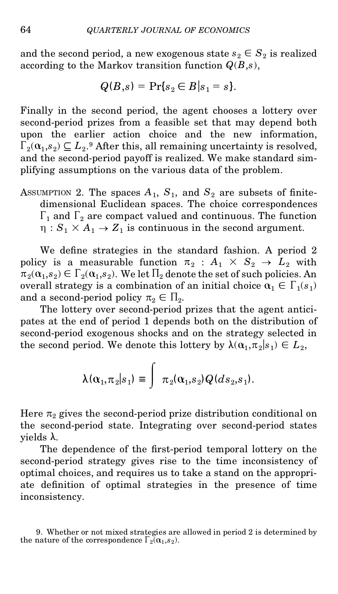and the second period, a new exogenous state  $s_2 \in S_2$  is realized according to the Markov transition function *Q*(*B*,*s*),

$$
Q(B,s) = \Pr\{s_2 \in B | s_1 = s\}.
$$

Finally in the second period, the agent chooses a lottery over second-period prizes from a feasible set that may depend both upon the earlier action choice and the new information,  $\Gamma_2(\alpha_1,s_2) \subseteq L_2$ .<sup>9</sup> After this, all remaining uncertainty is resolved, and the second-period payoff is realized. We make standard simplifying assumptions on the various data of the problem.

ASSUMPTION 2. The spaces  $A_1$ ,  $S_1$ , and  $S_2$  are subsets of finitedimensional Euclidean spaces. The choice correspondences  $\Gamma_1$  and  $\Gamma_2$  are compact valued and continuous. The function  $\eta: S_1 \times A_1 \to Z_1$  is continuous in the second argument.

We define strategies in the standard fashion. A period 2 policy is a measurable function  $\pi_2$ :  $A_1 \times S_2 \rightarrow L_2$  with  $\pi_2(\alpha_1,s_2) \in \Gamma_2(\alpha_1,s_2).$  We let  $\Pi_2$  denote the set of such policies. An overall strategy is a combination of an initial choice  $\alpha_1 \in \Gamma_1(s_1)$ and a second-period policy  $\pi_2 \in \Pi_2$ .

The lottery over second-period prizes that the agent anticipates at the end of period 1 depends both on the distribution of second-period exogenous shocks and on the strategy selected in the second period. We denote this lottery by  $\lambda(\alpha_1, \pi_2 | s_1) \in L_2$ ,

$$
\lambda(\alpha_1,\pi_2|s_1)\equiv \int \pi_2(\alpha_1,s_2)Q(ds_2,s_1).
$$

Here  $\pi_2$  gives the second-period prize distribution conditional on the second-period state. Integrating over second-period states yields  $\lambda$ .

The dependence of the first-period temporal lottery on the second-period strategy gives rise to the time inconsistency of optimal choices, and requires us to take a stand on the appropriate definition of optimal strategies in the presence of time inconsistency.

<sup>9.</sup> Whether or not mixed strategies are allowed in period 2 is determined by the nature of the correspondence  $\Gamma_2(\alpha_1,s_2)$ .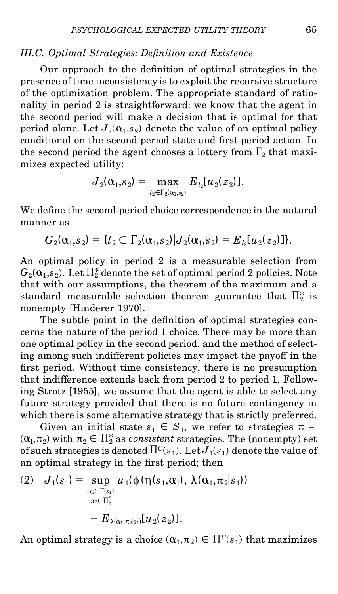### *<i>III.C.* Optimal Strategies: Definition and Existence

Our approach to the definition of optimal strategies in the presence of time inconsistency is to exploit the recursive structure of the optimization problem. The appropriate standard of rationality in period 2 is straightforward: we know that the agent in the second period will make a decision that is optimal for that period alone. Let  $J_2(\alpha_1,s_2)$  denote the value of an optimal policy conditional on the second-period state and first-period action. In the second period the agent chooses a lottery from  $\Gamma_2$  that maximizes expected utility:

$$
{J}_2(\alpha_1, \! s_2) = \max_{l_2 \in \Gamma_2(\alpha_1, \! s_2)} {E}_{l_2} [ {u}_2({z}_2) ].
$$

We define the second-period choice correspondence in the natural manner as

$$
G_2(\alpha_1,s_2)=\{l\,2\in \Gamma_2(\alpha_1,s_2)|\ J_2(\alpha_1,s_2)=E_{l_2}[u_2(z_2)]\}.
$$

An optimal policy in period 2 is a measurable selection from  $G_2(\alpha_1, s_2)$ . Let  $\Pi_2^*$  denote the set of optimal period 2 policies. Note that with our assumptions, the theorem of the maximum and a standard measurable selection theorem guarantee that  $\Pi_2^*$  is nonempty [Hinderer 1970].

The subtle point in the definition of optimal strategies concerns the nature of the period 1 choice. There may be more than one optimal policy in the second period, and the method of selecting among such indifferent policies may impact the payoff in the first period. Without time consistency, there is no presumption that indifference extends back from period 2 to period 1. Following Strotz [1955], we assume that the agent is able to select any future strategy provided that there is no future contingency in which there is some alternative strategy that is strictly preferred.

Given an initial state  $s_1 \in S_1$ , we refer to strategies  $\pi$  =  $(\alpha_{1}, \pi_{2})$  with  $\pi_{2} \in \Pi_{2}^{*}$  as *consistent* strategies. The (nonempty) set of such strategies is denoted  $\Pi^C(s_1)$ . Let  $J_1(s_1)$  denote the value of an optimal strategy in the first period; then

(2) 
$$
J_1(s_1) = \sup_{\substack{\alpha_1 \in \Gamma(s_1) \\ \pi_2 \in \Pi_2^+}} u_1(\phi(\eta(s_1, \alpha_1), \lambda(\alpha_1, \pi_2|s_1)) + E_{\lambda(\alpha_1, \pi_2|s_1)}[u_2(z_2)].
$$

An optimal strategy is a choice  $(\alpha_1, \pi_2) \in \Pi^C(s_1)$  that maximizes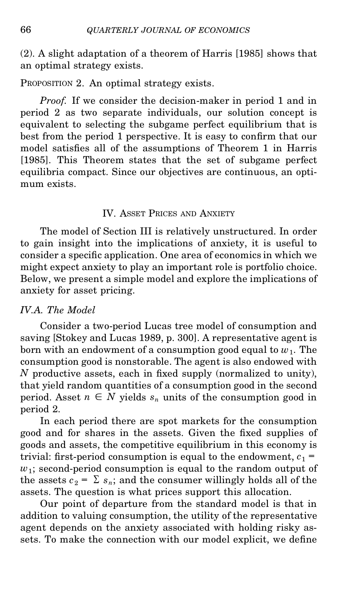(2). A slight adaptation of a theorem of Harris [1985] shows that an optimal strategy exists.

PROPOSITION 2. An optimal strategy exists.

*Proof.* If we consider the decision-maker in period 1 and in period 2 as two separate individuals, our solution concept is equivalent to selecting the subgame perfect equilibrium that is best from the period 1 perspective. It is easy to confirm that our model satisfies all of the assumptions of Theorem 1 in Harris [1985]. This Theorem states that the set of subgame perfect equilibria compact. Since our objectives are continuous, an optimum exists.

#### IV. ASSET PRICES AND ANXIETY

The model of Section III is relatively unstructured. In order to gain insight into the implications of anxiety, it is useful to consider a specific application. One area of economics in which we might expect anxiety to play an important role is portfolio choice. Below, we present a simple model and explore the implications of anxiety for asset pricing.

#### *IV.A. The Model*

Consider a two-period Lucas tree model of consumption and saving [Stokey and Lucas 1989, p. 300]. A representative agent is born with an endowment of a consumption good equal to  $w_1$ . The consumption good is nonstorable. The agent is also endowed with  $N$  productive assets, each in fixed supply (normalized to unity), that yield random quantities of a consumption good in the second period. Asset  $n \in N$  yields  $s_n$  units of the consumption good in period 2.

In each period there are spot markets for the consumption good and for shares in the assets. Given the fixed supplies of goods and assets, the competitive equilibrium in this economy is trivial: first-period consumption is equal to the endowment,  $c_1$  =  $w_1$ ; second-period consumption is equal to the random output of the assets  $c_2 = \sum s_n$ ; and the consumer willingly holds all of the assets. The question is what prices support this allocation.

Our point of departure from the standard model is that in addition to valuing consumption, the utility of the representative agent depends on the anxiety associated with holding risky assets. To make the connection with our model explicit, we define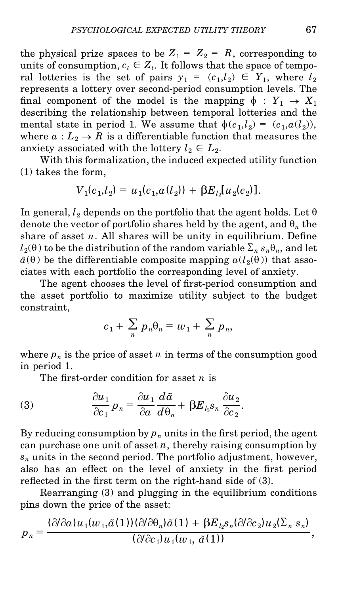the physical prize spaces to be  $Z_1 = Z_2 = R$ , corresponding to units of consumption,  $c_t \in Z_t$ . It follows that the space of temporal lotteries is the set of pairs  $y_1 = (c_1, l_2) \in Y_1$ , where  $l_2$ represents a lottery over second-period consumption levels. The final component of the model is the mapping  $\phi : Y_1 \to X_1$ describing the relationship between temporal lotteries and the mental state in period 1. We assume that  $\phi(c_1, l_2) = (c_1, a(l_2)),$ where  $a: L_2 \to R$  is a differentiable function that measures the anxiety associated with the lottery  $l_2 \in L_2$ .

With this formalization, the induced expected utility function (1) takes the form,

$$
V_1(c_1,l_2) = u_1(c_1,a(l_2)) + \beta E_{l_2}[u_2(c_2)].
$$

In general,  $l_2$  depends on the portfolio that the agent holds. Let  $\theta$ denote the vector of portfolio shares held by the agent, and  $\theta_n$  the share of asset  $n$ . All shares will be unity in equilibrium. Define  $l_2(\theta)$  to be the distribution of the random variable  $\sum_n s_n \theta_n$ , and let  $\tilde{a}(\theta)$  be the differentiable composite mapping  $a(l_2(\theta))$  that associates with each portfolio the corresponding level of anxiety.

The agent chooses the level of first-period consumption and the asset portfolio to maximize utility subject to the budget constraint,

$$
c_1+\sum_n p_n\theta_n=w_1+\sum_n p_n,
$$

where  $p_n$  is the price of asset *n* in terms of the consumption good in period 1.

The first-order condition for asset  $n$  is

(3) 
$$
\frac{\partial u_1}{\partial c_1} p_n = \frac{\partial u_1}{\partial a} \frac{d \tilde{a}}{d \theta_n} + \beta E_{l_2} s_n \frac{\partial u_2}{\partial c_2}.
$$

By reducing consumption by  $p_n$  units in the first period, the agent can purchase one unit of asset  $n$ , thereby raising consumption by  $s_n$  units in the second period. The portfolio adjustment, however, also has an effect on the level of anxiety in the first period reflected in the first term on the right-hand side of  $(3)$ .

Rearranging (3) and plugging in the equilibrium conditions pins down the price of the asset:

$$
p_n = \frac{(\partial/\partial a)u_1(w_1, \tilde{a}(1))(\partial/\partial \theta_n)\tilde{a}(1) + \beta E_{l_2}s_n(\partial/\partial c_2)u_2(\Sigma_n s_n)}{(\partial/\partial c_1)u_1(w_1, \tilde{a}(1))},
$$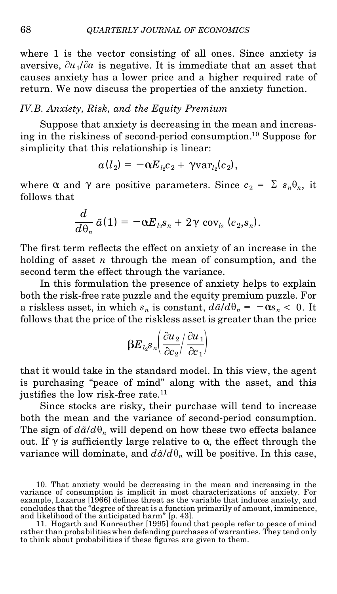where 1 is the vector consisting of all ones. Since anxiety is aversive,  $\partial u_1/\partial a$  is negative. It is immediate that an asset that causes anxiety has a lower price and a higher required rate of return. We now discuss the properties of the anxiety function.

## *IV.B. Anxiety, Risk, and the Equity Premium*

Suppose that anxiety is decreasing in the mean and increasing in the riskiness of second-period consumption.<sup>10</sup> Suppose for simplicity that this relationship is linear:

$$
a(l_2)=-\alpha E_{l_2}c_2+\gamma \text{var}_{l_2}(c_2),
$$

where  $\alpha$  and  $\gamma$  are positive parameters. Since  $c_2 = \sum s_n \theta_n$ , it follows that

$$
\frac{d}{d\theta_n}\tilde{a}(1)=-\alpha E_{l_2}s_n+2\gamma\,\operatorname{cov}_{l_2}\left(c_{2},s_n\right).
$$

The first term reflects the effect on anxiety of an increase in the holding of asset *n* through the mean of consumption, and the second term the effect through the variance.

In this formulation the presence of anxiety helps to explain both the risk-free rate puzzle and the equity premium puzzle. For a riskless asset, in which  $s_n$  is constant,  $d\tilde{a}/d\theta_n = -\alpha s_n < 0$ . It follows that the price of the riskless asset is greater than the price

$$
\beta E_{\mathit{l}_2}\!s_n\!\!\left(\dfrac{\partial u_{\,2}}{\partial c_{\,2}}\!\Big/\dfrac{\partial u_{\,1}}{\partial c_{\,1}}\!\right)
$$

that it would take in the standard model. In this view, the agent is purchasing "peace of mind" along with the asset, and this justifies the low risk-free rate.<sup>11</sup>

Since stocks are risky, their purchase will tend to increase both the mean and the variance of second-period consumption. The sign of  $d\tilde{a}/d\theta_n$  will depend on how these two effects balance out. If  $\gamma$  is sufficiently large relative to  $\alpha$ , the effect through the variance will dominate, and  $d\tilde{\alpha}/d\theta$ <sub>n</sub> will be positive. In this case,

<sup>10.</sup> That anxiety would be decreasing in the mean and increasing in the variance of consumption is implicit in most characterizations of anxiety. For example, Lazarus [1966] defines threat as the variable that induces anxiety, and concludes that the "degree of threat is a function primarily of amount, imminence, and likelihood of the anticipated harm" [p. 43].

<sup>11.</sup> Hogarth and Kunreuther [1995] found that people refer to peace of mind rather than probabilitieswhen defending purchases of warranties. They tend only to think about probabilities if these figures are given to them.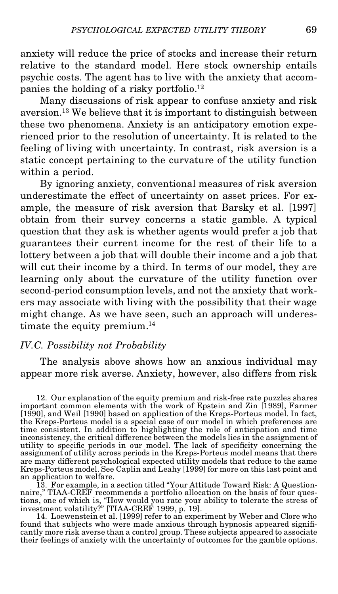anxiety will reduce the price of stocks and increase their return relative to the standard model. Here stock ownership entails psychic costs. The agent has to live with the anxiety that accompanies the holding of a risky portfolio.<sup>12</sup>

Many discussions of risk appear to confuse anxiety and risk aversion.<sup>13</sup> We believe that it is important to distinguish between these two phenomena. Anxiety is an anticipatory emotion experienced prior to the resolution of uncertainty. It is related to the feeling of living with uncertainty. In contrast, risk aversion is a static concept pertaining to the curvature of the utility function within a period.

By ignoring anxiety, conventional measures of risk aversion underestimate the effect of uncertainty on asset prices. For example, the measure of risk aversion that Barsky et al. [1997] obtain from their survey concerns a static gamble. A typical question that they ask is whether agents would prefer a job that guarantees their current income for the rest of their life to a lottery between a job that will double their income and a job that will cut their income by a third. In terms of our model, they are learning only about the curvature of the utility function over second-period consumption levels, and not the anxiety that workers may associate with living with the possibility that their wage might change. As we have seen, such an approach will underestimate the equity premium.<sup>14</sup>

#### *IV.C. Possibility not Probability*

The analysis above shows how an anxious individual may appear more risk averse. Anxiety, however, also differs from risk

12. Our explanation of the equity premium and risk-free rate puzzles shares important common elements with the work of Epstein and Zin [1989], Farmer [1990], and Weil [1990] based on application of the Kreps-Porteus model. In fact, the Kreps-Porteus model is a special case of our model in which preferences are time consistent. In addition to highlighting the role of anticipation and time inconsistency, the critical difference between the models lies in the assignment of utility to specific periods in our model. The lack of specificity concerning the assignment of utility across periods in the Kreps-Porteus model means that there are many different psychological expected utility models that reduce to the same Kreps-Porteus model. See Caplin and Leahy [1999] for more on this last point and an application to welfare.

13. For example, in a section titled "Your Attitude Toward Risk: A Questionnaire," TIAA-CREF recommends a portfolio allocation on the basis of four questions, one of which is, "How would you rate your ability to tolerate the stress of investment volatility?" [TIAA-CREF 1999, p. 19].

14. Loewenstein et al. [1999] refer to an experiment by Weber and Clore who found that subjects who were made anxious through hypnosis appeared significantly more risk averse than a control group. These subjects appeared to associate their feelings of anxiety with the uncertainty of outcomes for the gamble options.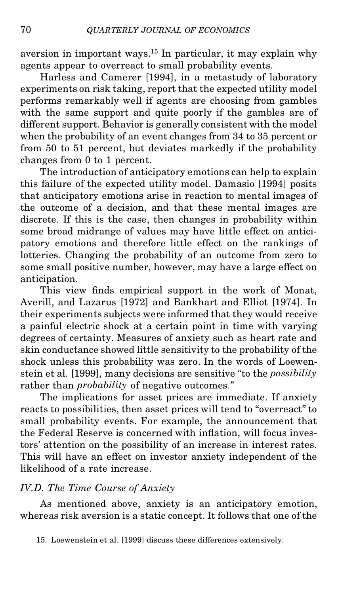aversion in important ways.<sup>15</sup> In particular, it may explain why agents appear to overreact to small probability events.

Harless and Camerer [1994], in a metastudy of laboratory experiments on risk taking, report that the expected utility model performs remarkably well if agents are choosing from gambles with the same support and quite poorly if the gambles are of different support. Behavior is generally consistent with the model when the probability of an event changes from 34 to 35 percent or from 50 to 51 percent, but deviates markedly if the probability changes from 0 to 1 percent.

The introduction of anticipatory emotions can help to explain this failure of the expected utility model. Damasio [1994] posits that anticipatory emotions arise in reaction to mental images of the outcome of a decision, and that these mental images are discrete. If this is the case, then changes in probability within some broad midrange of values may have little effect on anticipatory emotions and therefore little effect on the rankings of lotteries. Changing the probability of an outcome from zero to some small positive number, however, may have a large effect on anticipation.

This view finds empirical support in the work of Monat, Averill, and Lazarus [1972] and Bankhart and Elliot [1974]. In their experiments subjects were informed that they would receive a painful electric shock at a certain point in time with varying degrees of certainty. Measures of anxiety such as heart rate and skin conductance showed little sensitivity to the probability of the shock unless this probability was zero. In the words of Loewenstein et al. [1999], many decisions are sensitive "to the *possibility* rather than *probability* of negative outcomes."

The implications for asset prices are immediate. If anxiety reacts to possibilities, then asset prices will tend to "overreact" to small probability events. For example, the announcement that the Federal Reserve is concerned with inflation, will focus investors' attention on the possibility of an increase in interest rates. This will have an effect on investor anxiety independent of the likelihood of a rate increase.

# *IV.D. The Time Course of Anxiety*

As mentioned above, anxiety is an anticipatory emotion, whereas risk aversion is a static concept. It follows that one of the

<sup>15.</sup> Loewenstein et al. [1999] discuss these differences extensively.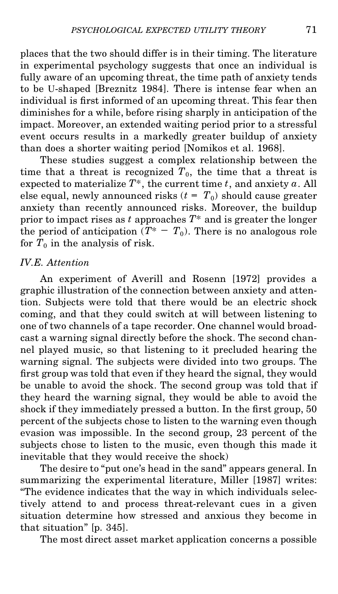places that the two should differ is in their timing. The literature in experimental psychology suggests that once an individual is fully aware of an upcoming threat, the time path of anxiety tends to be U-shaped [Breznitz 1984]. There is intense fear when an individual is first informed of an upcoming threat. This fear then diminishes for a while, before rising sharply in anticipation of the impact. Moreover, an extended waiting period prior to a stressful event occurs results in a markedly greater buildup of anxiety than does a shorter waiting period [Nomikos et al. 1968].

These studies suggest a complex relationship between the time that a threat is recognized  $T_0$ , the time that a threat is expected to materialize  $T^*$ , the current time  $t$ , and anxiety  $a$ . All else equal, newly announced risks  $(t = T_0)$  should cause greater anxiety than recently announced risks. Moreover, the buildup prior to impact rises as *t* approaches *T*\* and is greater the longer the period of anticipation  $(T^* - T_0)$ . There is no analogous role for  $T_0$  in the analysis of risk.

# *IV.E. Attention*

An experiment of Averill and Rosenn [1972] provides a graphic illustration of the connection between anxiety and attention. Subjects were told that there would be an electric shock coming, and that they could switch at will between listening to one of two channels of a tape recorder. One channel would broadcast a warning signal directly before the shock. The second channel played music, so that listening to it precluded hearing the warning signal. The subjects were divided into two groups. The first group was told that even if they heard the signal, they would be unable to avoid the shock. The second group was told that if they heard the warning signal, they would be able to avoid the shock if they immediately pressed a button. In the first group, 50 percent of the subjects chose to listen to the warning even though evasion was impossible. In the second group, 23 percent of the subjects chose to listen to the music, even though this made it inevitable that they would receive the shock)

The desire to "put one's head in the sand" appears general. In summarizing the experimental literature, Miller [1987] writes: "The evidence indicates that the way in which individuals selectively attend to and process threat-relevant cues in a given situation determine how stressed and anxious they become in that situation" [p. 345].

The most direct asset market application concerns a possible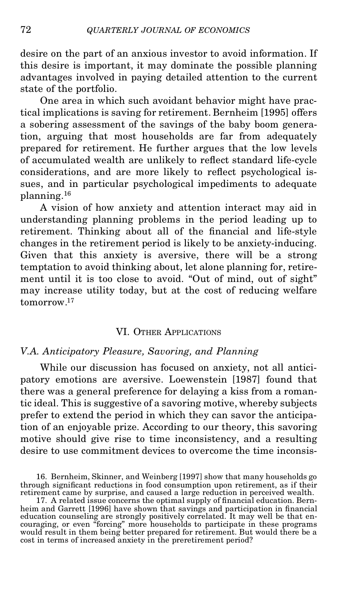desire on the part of an anxious investor to avoid information. If this desire is important, it may dominate the possible planning advantages involved in paying detailed attention to the current state of the portfolio.

One area in which such avoidant behavior might have practical implications is saving for retirement. Bernheim [1995] offers a sobering assessment of the savings of the baby boom generation, arguing that most households are far from adequately prepared for retirement. He further argues that the low levels of accumulated wealth are unlikely to reflect standard life-cycle considerations, and are more likely to reflect psychological issues, and in particular psychological impediments to adequate planning.<sup>16</sup>

A vision of how anxiety and attention interact may aid in understanding planning problems in the period leading up to retirement. Thinking about all of the financial and life-style changes in the retirement period is likely to be anxiety-inducing. Given that this anxiety is aversive, there will be a strong temptation to avoid thinking about, let alone planning for, retirement until it is too close to avoid. "Out of mind, out of sight" may increase utility today, but at the cost of reducing welfare tomorrow.<sup>17</sup>

### VI. OTHER APPLICATIONS

### *V.A. Anticipatory Pleasure, Savoring, and Planning*

While our discussion has focused on anxiety, not all anticipatory emotions are aversive. Loewenstein [1987] found that there was a general preference for delaying a kiss from a romantic ideal. This is suggestive of a savoring motive, whereby subjects prefer to extend the period in which they can savor the anticipation of an enjoyable prize. According to our theory, this savoring motive should give rise to time inconsistency, and a resulting desire to use commitment devices to overcome the time inconsis-

<sup>16.</sup> Bernheim, Skinner, and Weinberg [1997] show that many households go through signicant reductions in food consumption upon retirement, as if their retirement came by surprise, and caused a large reduction in perceived wealth. 17. A related issue concerns the optimal supply of nancial education. Bern-

heim and Garrett [1996] have shown that savings and participation in financial education counseling are strongly positively correlated. It may well be that en- couraging, or even "forcing" more households to participate in these programs would result in them being better prepared for retirement. But would there be a cost in terms of increased anxiety in the preretirement period?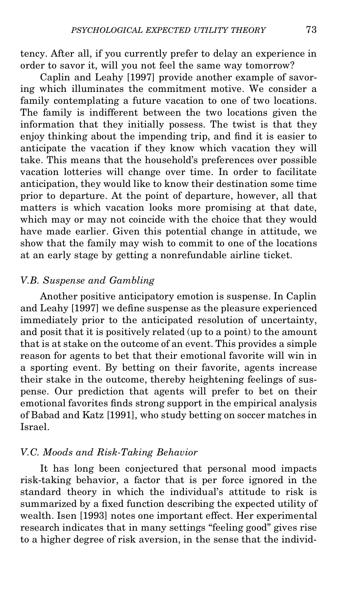tency. After all, if you currently prefer to delay an experience in order to savor it, will you not feel the same way tomorrow?

Caplin and Leahy [1997] provide another example of savoring which illuminates the commitment motive. We consider a family contemplating a future vacation to one of two locations. The family is indifferent between the two locations given the information that they initially possess. The twist is that they enjoy thinking about the impending trip, and find it is easier to anticipate the vacation if they know which vacation they will take. This means that the household's preferences over possible vacation lotteries will change over time. In order to facilitate anticipation, they would like to know their destination some time prior to departure. At the point of departure, however, all that matters is which vacation looks more promising at that date, which may or may not coincide with the choice that they would have made earlier. Given this potential change in attitude, we show that the family may wish to commit to one of the locations at an early stage by getting a nonrefundable airline ticket.

# *V.B. Suspense and Gambling*

Another positive anticipatory emotion is suspense. In Caplin and Leahy [1997] we define suspense as the pleasure experienced immediately prior to the anticipated resolution of uncertainty, and posit that it is positively related (up to a point) to the amount that is at stake on the outcome of an event. This provides a simple reason for agents to bet that their emotional favorite will win in a sporting event. By betting on their favorite, agents increase their stake in the outcome, thereby heightening feelings of suspense. Our prediction that agents will prefer to bet on their emotional favorites finds strong support in the empirical analysis of Babad and Katz [1991], who study betting on soccer matches in Israel.

#### *V.C. Moods and Risk-Taking Behavior*

It has long been conjectured that personal mood impacts risk-taking behavior, a factor that is per force ignored in the standard theory in which the individual's attitude to risk is summarized by a fixed function describing the expected utility of wealth. Isen [1993] notes one important effect. Her experimental research indicates that in many settings "feeling good" gives rise to a higher degree of risk aversion, in the sense that the individ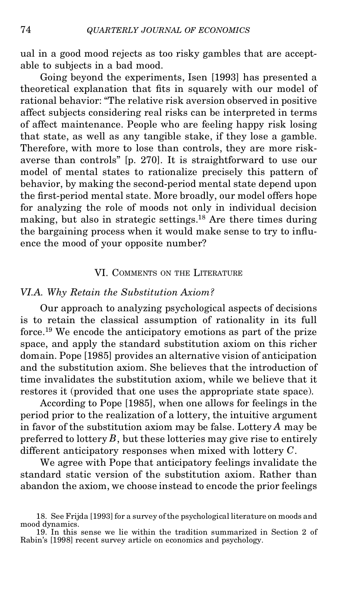ual in a good mood rejects as too risky gambles that are acceptable to subjects in a bad mood.

Going beyond the experiments, Isen [1993] has presented a theoretical explanation that fits in squarely with our model of rational behavior: "The relative risk aversion observed in positive affect subjects considering real risks can be interpreted in terms of affect maintenance. People who are feeling happy risk losing that state, as well as any tangible stake, if they lose a gamble. Therefore, with more to lose than controls, they are more riskaverse than controls" [p. 270]. It is straightforward to use our model of mental states to rationalize precisely this pattern of behavior, by making the second-period mental state depend upon the first-period mental state. More broadly, our model offers hope for analyzing the role of moods not only in individual decision making, but also in strategic settings.<sup>18</sup> Are there times during the bargaining process when it would make sense to try to influence the mood of your opposite number?

## VI. COMMENTS ON THE LITERATURE

# *VI.A. Why Retain the Substitution Axiom?*

Our approach to analyzing psychological aspects of decisions is to retain the classical assumption of rationality in its full force.<sup>19</sup> We encode the anticipatory emotions as part of the prize space, and apply the standard substitution axiom on this richer domain. Pope [1985] provides an alternative vision of anticipation and the substitution axiom. She believes that the introduction of time invalidates the substitution axiom, while we believe that it restores it (provided that one uses the appropriate state space).

According to Pope [1985], when one allows for feelings in the period prior to the realization of a lottery, the intuitive argument in favor of the substitution axiom may be false. Lottery *A* may be preferred to lottery  $B$ , but these lotteries may give rise to entirely different anticipatory responses when mixed with lottery *C*.

We agree with Pope that anticipatory feelings invalidate the standard static version of the substitution axiom. Rather than abandon the axiom, we choose instead to encode the prior feelings

<sup>18.</sup> See Frijda [1993] for a survey of the psychological literature on moods and mood dynamics.

<sup>19.</sup> In this sense we lie within the tradition summarized in Section 2 of Rabin's [1998] recent survey article on economics and psychology.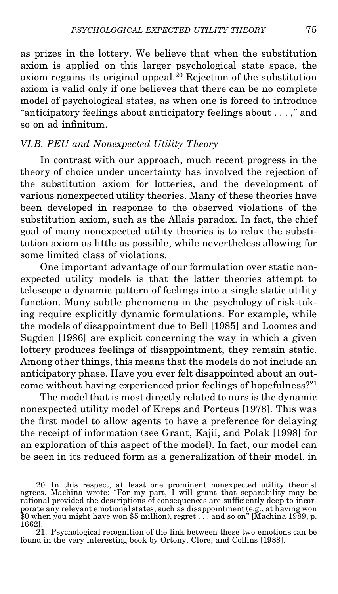as prizes in the lottery. We believe that when the substitution axiom is applied on this larger psychological state space, the axiom regains its original appeal.<sup>20</sup> Rejection of the substitution axiom is valid only if one believes that there can be no complete model of psychological states, as when one is forced to introduce "anticipatory feelings about anticipatory feelings about . . . ," and so on ad infinitum.

## *VI.B. PEU and Nonexpected Utility Theory*

In contrast with our approach, much recent progress in the theory of choice under uncertainty has involved the rejection of the substitution axiom for lotteries, and the development of various nonexpected utility theories. Many of these theories have been developed in response to the observed violations of the substitution axiom, such as the Allais paradox. In fact, the chief goal of many nonexpected utility theories is to relax the substitution axiom aslittle as possible, while nevertheless allowing for some limited class of violations.

One important advantage of our formulation over static nonexpected utility models is that the latter theories attempt to telescope a dynamic pattern of feelings into a single static utility function. Many subtle phenomena in the psychology of risk-taking require explicitly dynamic formulations. For example, while the models of disappointment due to Bell [1985] and Loomes and Sugden [1986] are explicit concerning the way in which a given lottery produces feelings of disappointment, they remain static. Among other things, this means that the models do not include an anticipatory phase. Have you ever felt disappointed about an outcome without having experienced prior feelings of hopefulness?<sup>21</sup>

The model that is most directly related to ours is the dynamic nonexpected utility model of Kreps and Porteus [1978]. This was the first model to allow agents to have a preference for delaying the receipt of information (see Grant, Kajii, and Polak [1998] for an exploration of this aspect of the model). In fact, our model can be seen in its reduced form as a generalization of their model, in

21. Psychological recognition of the link between these two emotions can be found in the very interesting book by Ortony, Clore, and Collins [1988].

<sup>20.</sup> In this respect, at least one prominent nonexpected utility theorist agrees. Machina wrote: "For my part, I will grant that separability may be rational provided the descriptions of consequences are sufficiently deep t porate any relevant emotional states, such as disappointment (e.g., at having won \$0 when you might have won \$5 million), regret . . . and so on" [Machina 1989, p. 1662].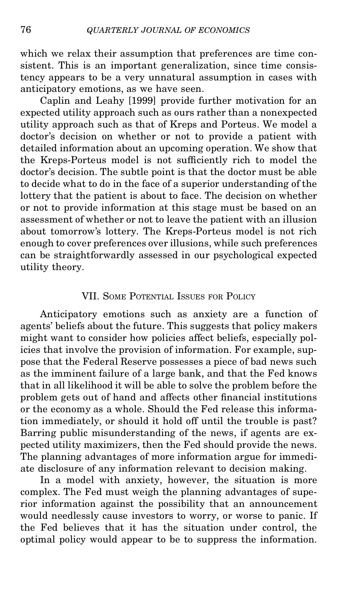which we relax their assumption that preferences are time consistent. This is an important generalization, since time consistency appears to be a very unnatural assumption in cases with anticipatory emotions, as we have seen.

Caplin and Leahy [1999] provide further motivation for an expected utility approach such as ours rather than a nonexpected utility approach such as that of Kreps and Porteus. We model a doctor's decision on whether or not to provide a patient with detailed information about an upcoming operation. We show that the Kreps-Porteus model is not sufficiently rich to model the doctor's decision. The subtle point is that the doctor must be able to decide what to do in the face of a superior understanding of the lottery that the patient is about to face. The decision on whether or not to provide information at this stage must be based on an assessment of whether or not to leave the patient with an illusion about tomorrow's lottery. The Kreps-Porteus model is not rich enough to cover preferences over illusions, while such preferences can be straightforwardly assessed in our psychological expected utility theory.

#### VII. SOME POTENTIAL ISSUES FOR POLICY

Anticipatory emotions such as anxiety are a function of agents' beliefs about the future. This suggests that policy makers might want to consider how policies affect beliefs, especially policies that involve the provision of information. For example, suppose that the Federal Reserve possesses a piece of bad news such as the imminent failure of a large bank, and that the Fed knows that in all likelihood it will be able to solve the problem before the problem gets out of hand and affects other financial institutions or the economy as a whole. Should the Fed release this information immediately, or should it hold off until the trouble is past? Barring public misunderstanding of the news, if agents are expected utility maximizers, then the Fed should provide the news. The planning advantages of more information argue for immediate disclosure of any information relevant to decision making.

In a model with anxiety, however, the situation is more complex. The Fed must weigh the planning advantages of superior information against the possibility that an announcement would needlessly cause investors to worry, or worse to panic. If the Fed believes that it has the situation under control, the optimal policy would appear to be to suppress the information.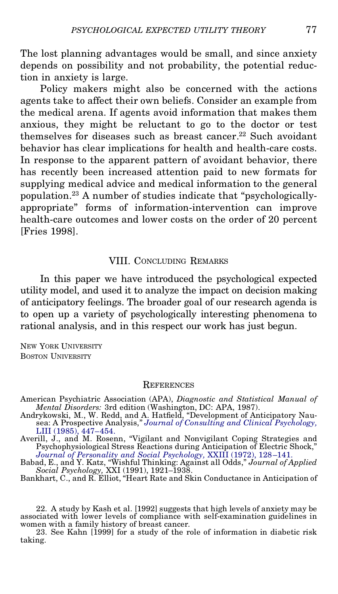The lost planning advantages would be small, and since anxiety depends on possibility and not probability, the potential reduction in anxiety is large.

Policy makers might also be concerned with the actions agents take to affect their own beliefs. Consider an example from the medical arena. If agents avoid information that makes them anxious, they might be reluctant to go to the doctor or test themselves for diseases such as breast cancer.<sup>22</sup> Such avoidant behavior has clear implications for health and health-care costs. In response to the apparent pattern of avoidant behavior, there has recently been increased attention paid to new formats for supplying medical advice and medical information to the general population.<sup>23</sup> A number of studies indicate that "psychologicallyappropriate" forms of information-intervention can improve health-care outcomes and lower costs on the order of 20 percent [Fries 1998].

### VIII. CONCLUDING REMARKS

In this paper we have introduced the psychological expected utility model, and used it to analyze the impact on decision making of anticipatory feelings. The broader goal of our research agenda is to open up a variety of psychologically interesting phenomena to rational analysis, and in this respect our work has just begun.

NEW YORK UNIVERSITY BOSTON UNIVERSITY

#### **REFERENCES**

- American Psychiatric Association (APA), *Diagnostic and Statistical Manual of*
- Mental Disorders: 3rd edition (Washington, DC: APA, 1987).<br>Andrykowski, M., W. Redd, and A. Hatfield, "Development of Anticipatory Nausea: A Prospective Analysis," Journal of Consulting and Clinical [Psychology,](http://www.ingentaselect.com/rpsv/cgi-bin/linker?ext=a&reqidx=/0022-006X^281985^2953L.447[aid=894460])

LIII (1985), [447–454.](http://www.ingentaselect.com/rpsv/cgi-bin/linker?ext=a&reqidx=/0022-006X^281985^2953L.447[aid=894460]) Averill, J., and M. Rosenn, "Vigilant and Nonvigilant Coping Strategies and Psychophysiological Stress Reactions during Anticipation of Electric Shock,"

Journal of Personality and Social [Psychology,](http://www.ingentaselect.com/rpsv/cgi-bin/linker?ext=a&reqidx=/0022-3514^281972^2923L.128[aid=894461,nlm=5043002]) XXIII (1972), 128–141.<br>Babad, E., and Y. Katz, "Wishful Thinking: Against all Odds," Journal of Applied<br>Social Psychology, XXI (1991), 1921–1938.

Bankhart, C., and R. Elliot, "Heart Rate and Skin Conductance in Anticipation of

22. A study by Kash et al. [1992] suggests that high levels of anxiety may be associated with lower levels of compliance with self-examination guidelines in women with <sup>a</sup> family history of breast cancer.

23. See Kahn [1999] for a study of the role of information in diabetic risk taking.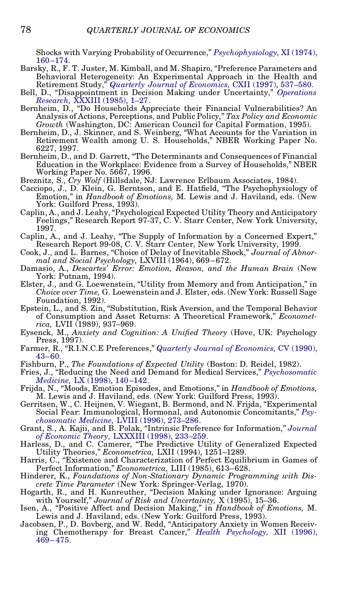Shocks with Varying Probability of Occurrence," *[Psychophysiology,](http://www.ingentaselect.com/rpsv/cgi-bin/linker?ext=a&reqidx=/0048-5772^281974^2911L.160[aid=894463,nlm=4821616])* XI (1974), [160–174.](http://www.ingentaselect.com/rpsv/cgi-bin/linker?ext=a&reqidx=/0048-5772^281974^2911L.160[aid=894463,nlm=4821616])

- Barsky, R., F. T. Juster, M. Kimball, and M. Shapiro, "Preference Parameters and Behavioral Heterogeneity: An Experimental Approach in the Health and Retirement Study," *Quarterly Journal of [Economics,](http://www.ingentaselect.com/rpsv/cgi-bin/linker?ext=a&reqidx=/0033-5533^281997^29112L.537[aid=894464,cw=1])* CXII (1997), 537–580.
- Bell, D., "Disappointment in Decision Making under Uncertainty," *[Operations](http://www.ingentaselect.com/rpsv/cgi-bin/linker?ext=a&reqidx=/0030-364X^281985^2933L.1[aid=894465,csa=0030-364X^26vol=33^26iss=1^26firstpage=1]) [Research,](http://www.ingentaselect.com/rpsv/cgi-bin/linker?ext=a&reqidx=/0030-364X^281985^2933L.1[aid=894465,csa=0030-364X^26vol=33^26iss=1^26firstpage=1])* XXXIII (1985), 1–27.
- Bernheim, D., "Do Households Appreciate their Financial Vulnerabilities? An Analysis of Actions, Perceptions, and Public Policy," *Tax Policy and Economic Growth* (Washington, DC: American Council for Capital Formation, 1995).
- Bernheim, D., J. Skinner, and S. Weinberg, "What Accounts for the Variation in Retirement Wealth among U. S. Households," NBER Working Paper No. 6227, 1997.
- Bernheim, D., and D. Garrett, "The Determinants and Consequences of Financial Education in the Workplace: Evidence from a Survey of Households," NBER Working Paper No. 5667, 1996.
- Breznitz, S., *Cry Wolf* (Hillsdale, NJ: Lawrence Erlbaum Associates, 1984).
- Cacciopo, J., D. Klein, G. Berntson, and E. Hatfield, "The Psychophysiology of Emotion," in *Handbook of Emotions,* M. Lewis and J. Haviland, eds. (New York: Guilford Press, 1993).
- Caplin, A., and J. Leahy, "Psychological Expected Utility Theory and Anticipatory Feelings," Research Report 97-37, C. V. Starr Center, New York University, 1997.
- Caplin, A., and J. Leahy, "The Supply of Information by a Concerned Expert," Research Report 99-08, C. V. Starr Center, New York University, 1999.
- Cook, J., and L. Barnes, "Choice of Delay of Inevitable Shock," *Journal of Abnor-mal and Social Psychology,* LXVIII (1964), 669–672.
- Damasio, A., *Descartes' Error: Emotion, Reason, and the Human Brain* (New York: Putnam, 1994).
- Elster, J., and G. Loewenstein, "Utility from Memory and from Anticipation," in *Choice over Time,* G. Loewenstein and J. Elster, eds. (New York: Russell Sage Foundation, 1992).
- Epstein, L., and S. Zin, "Substitution, Risk Aversion, and the Temporal Behavior of Consumption and Asset Returns: A Theoretical Framework," *Econometrica,* LVII (1989), 937–969.
- Eysenck, M., *Anxiety and Cognition: A Unied Theory* (Hove, UK: Psychology Press, 1997).
- Farmer, R., "R.I.N.C.E Preferences," *Quarterly Journal of [Economics,](http://www.ingentaselect.com/rpsv/cgi-bin/linker?ext=a&reqidx=/0033-5533^281990^29105L.43[aid=894467])* CV (1990), [43–60.](http://www.ingentaselect.com/rpsv/cgi-bin/linker?ext=a&reqidx=/0033-5533^281990^29105L.43[aid=894467])
- 
- Fishburn, P., *The Foundations of Expected Utility* (Boston: D. Reidel, 1982). Fries, J., "Reducing the Need and Demand for Medical Services," *[Psychosomatic](http://www.ingentaselect.com/rpsv/cgi-bin/linker?ext=a&reqidx=/0033-3174^281998^2960L.140[aid=894468,csa=0033-3174^26vol=60^26iss=2^26firstpage=140,nlm=9560860]) [Medicine,](http://www.ingentaselect.com/rpsv/cgi-bin/linker?ext=a&reqidx=/0033-3174^281998^2960L.140[aid=894468,csa=0033-3174^26vol=60^26iss=2^26firstpage=140,nlm=9560860])* LX (1998), 140–142.
- Frijda, N., "Moods, Emotion Episodes, and Emotions," in *Handbook of Emotions,* M. Lewis and J. Haviland, eds. (New York: Guilford Press, 1993).
- Gerritsen, W., C. Heijnen, V. Wiegant, B. Bermond, and N. Frijda, "Experimental Social Fear: Immunological, Hormonal, and Autonomic Concomitants," *[Psy](http://www.ingentaselect.com/rpsv/cgi-bin/linker?ext=a&reqidx=/0033-3174^281996^2958L.273[aid=224729,csa=0033-3174^26vol=58^26iss=3^26firstpage=273,nlm=8771627])[chosomatic](http://www.ingentaselect.com/rpsv/cgi-bin/linker?ext=a&reqidx=/0033-3174^281996^2958L.273[aid=224729,csa=0033-3174^26vol=58^26iss=3^26firstpage=273,nlm=8771627]) Medicine,* LVIII (1996), 273–286.
- Grant, S., A. Kajii, and B. Polak, "Intrinsic Preference for Information," *[Journal](http://www.ingentaselect.com/rpsv/cgi-bin/linker?ext=a&reqidx=/0022-0531^281998^2983L.233[aid=894469]) of [Economic](http://www.ingentaselect.com/rpsv/cgi-bin/linker?ext=a&reqidx=/0022-0531^281998^2983L.233[aid=894469]) Theory,* LXXXIII (1998), 233–259.
- Harless, D., and C. Camerer, "The Predictive Utility of Generalized Expected Utility Theories," *Econometrica,* LXII (1994), 1251–1289.
- Harris, C., "Existence and Characterization of Perfect Equilibrium in Games of Perfect Information," *Econometrica,* LIII (1985), 613–628.
- Hinderer, K., *Foundations of Non-Stationary Dynamic Programming with Discrete Time Parameter* (New York: Springer-Verlag, 1970).
- Hogarth, R., and H. Kunreuther, "Decision Making under Ignorance: Arguing with Yourself," *Journal of Risk and Uncertainty,* X (1995), 15–36.
- Isen, A., "Positive Affect and Decision Making," in *Handbook of Emotions,* M. Lewis and J. Haviland, eds. (New York: Guilford Press, 1993).
- Jacobsen, P., D. Bovberg, and W. Redd, "Anticipatory Anxiety in Women Receiving Chemotherapy for Breast Cancer," *Health [Psychology,](http://www.ingentaselect.com/rpsv/cgi-bin/linker?ext=a&reqidx=/0278-6133^281996^2912L.469[aid=894473,csa=0278-6133^26vol=12^26iss=6^26firstpage=469])* XII (1996),  $469 - 475$ .